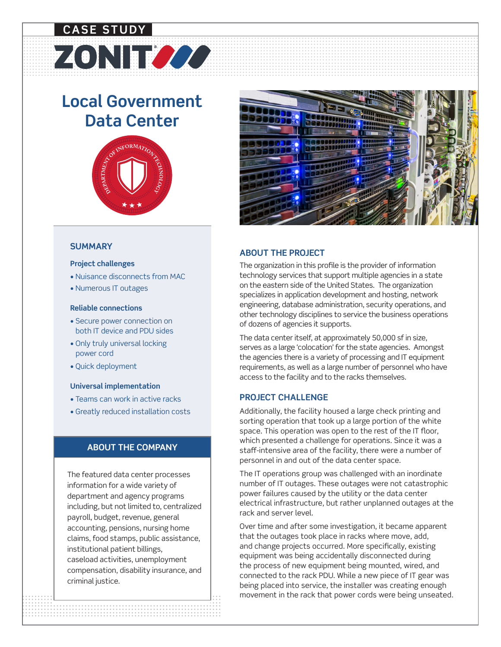# **CASE STUDY**

# **Local Government Data Center**

ZONITZZZ



#### **SUMMARY**

#### **Project challenges**

- Nuisance disconnects from MAC
- Numerous IT outages

#### **Reliable connections**

- Secure power connection on both IT device and PDU sides
- Only truly universal locking power cord
- Quick deployment

#### **Universal implementation**

- Teams can work in active racks
- Greatly reduced installation costs

#### **ABOUT THE COMPANY**

The featured data center processes information for a wide variety of department and agency programs including, but not limited to, centralized payroll, budget, revenue, general accounting, pensions, nursing home claims, food stamps, public assistance, institutional patient billings, caseload activities, unemployment compensation, disability insurance, and criminal justice.



## **ABOUT THE PROJECT**

The organization in this profile is the provider of information technology services that support multiple agencies in a state on the eastern side of the United States. The organization specializes in application development and hosting, network engineering, database administration, security operations, and other technology disciplines to service the business operations of dozens of agencies it supports.

The data center itself, at approximately 50,000 sf in size, serves as a large 'colocation' for the state agencies. Amongst the agencies there is a variety of processing and IT equipment requirements, as well as a large number of personnel who have access to the facility and to the racks themselves.

#### **PROJECT CHALLENGE**

Additionally, the facility housed a large check printing and sorting operation that took up a large portion of the white space. This operation was open to the rest of the IT floor, which presented a challenge for operations. Since it was a staff-intensive area of the facility, there were a number of personnel in and out of the data center space.

The IT operations group was challenged with an inordinate number of IT outages. These outages were not catastrophic power failures caused by the utility or the data center electrical infrastructure, but rather unplanned outages at the rack and server level.

movement in the rack that power cords were being<br>
in the rack that power cords were being<br>
in the rack that power cords were being<br>
in the rack that power cords were being<br>
in the rack that power cords were being<br>
in the r Over time and after some investigation, it became apparent that the outages took place in racks where move, add, and change projects occurred. More specifically, existing equipment was being accidentally disconnected during the process of new equipment being mounted, wired, and connected to the rack PDU. While a new piece of IT gear was being placed into service, the installer was creating enough movement in the rack that power cords were being unseated.